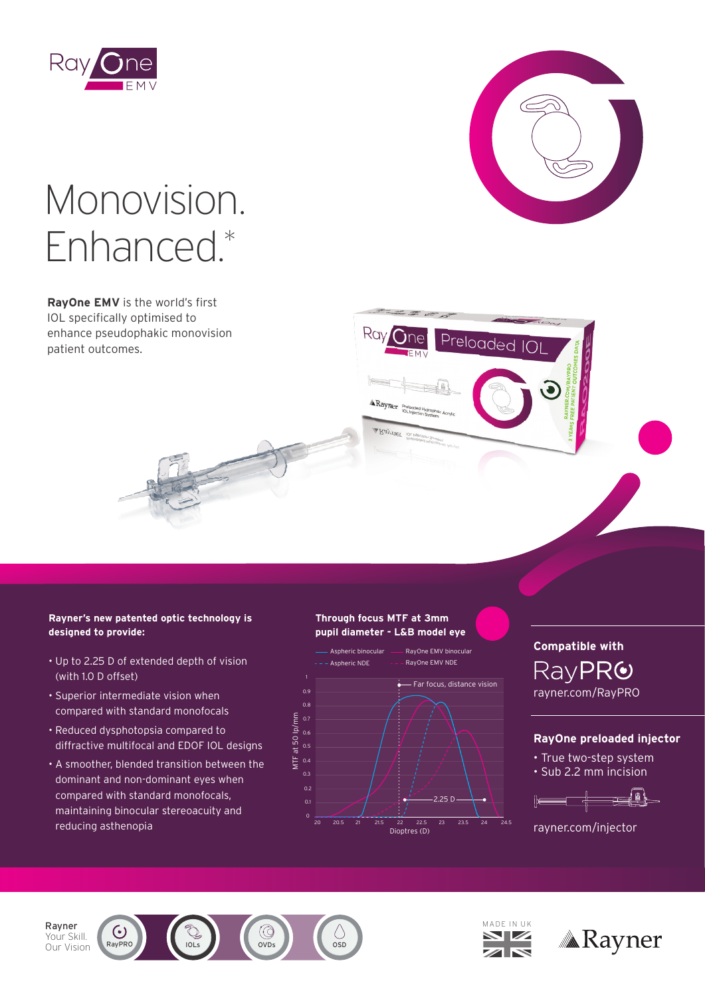



Preloaded IO

# Monovision. Enhanced.\*

**RayOne EMV** is the world's first IOL specifically optimised to enhance pseudophakic monovision patient outcomes.

#### **Rayner's new patented optic technology is designed to provide:**

- Up to 2.25 D of extended depth of vision (with 1.0 D offset)
- Superior intermediate vision when compared with standard monofocals
- Reduced dysphotopsia compared to diffractive multifocal and EDOF IOL designs
- A smoother, blended transition between the dominant and non-dominant eyes when compared with standard monofocals, maintaining binocular stereoacuity and reducing asthenopia Dioptres (D) and the contract of the contract of the contract of the contract of the contract of the contract of the contract of the contract of the contract of the contract of the contract of the contr

#### **Through focus MTF at 3mm pupil diameter - L&B model eye**

Rav 6



**Compatible with** Compatible with RayPR<sup>O</sup> rayner.com/RayPRO rayner.com/RayPRO

### **RayOne preloaded injector**

- True two-step system
- Sub 2.2 mm incision



rayner.com/injector